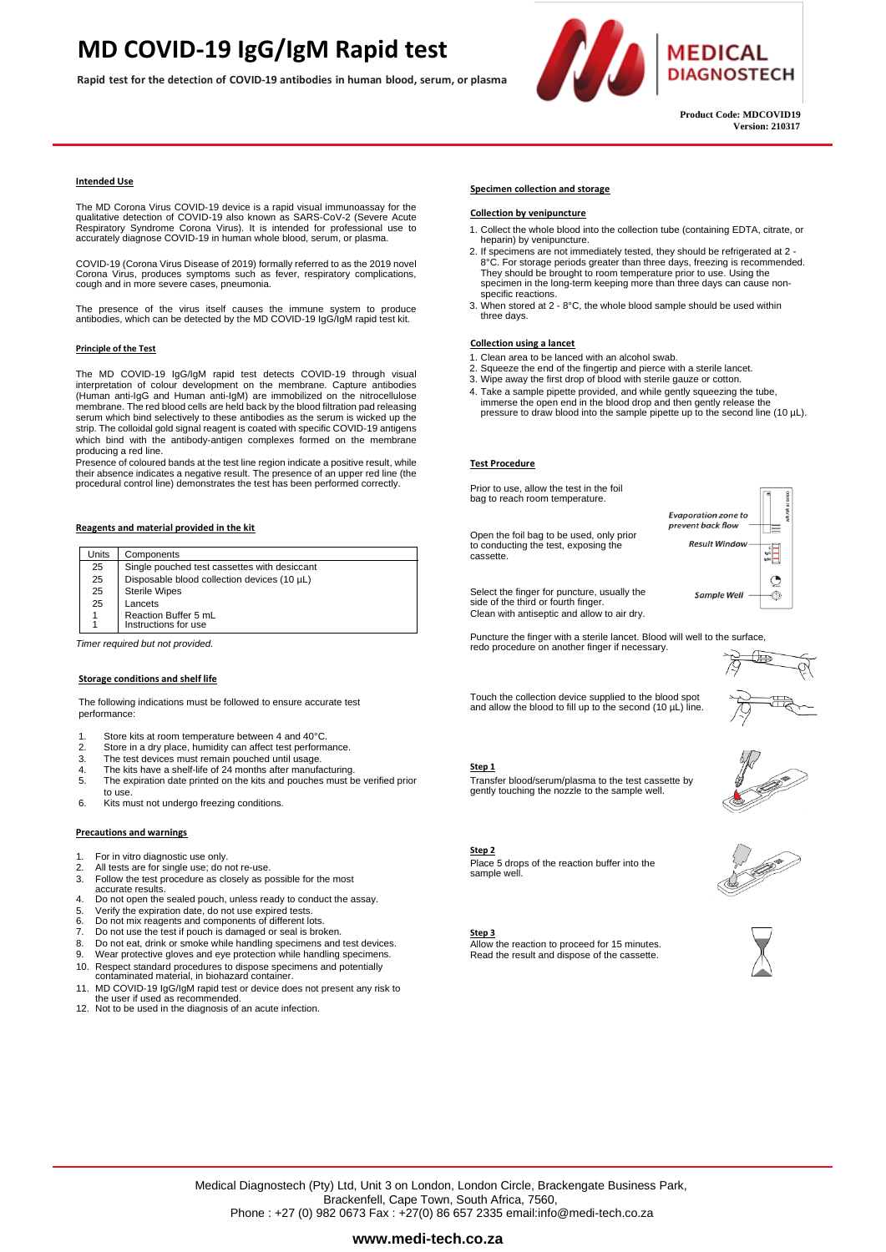### **MD COVID-19 IgG/IgM Rapid test**

**Rapid test for the detection of COVID-19 antibodies in human blood, serum, or plasma**



 **Product Code: MDCOVID19 Version: 210317**

#### **Intended Use**

The MD Corona Virus COVID-19 device is a rapid visual immunoassay for the<br>qualitative detection of COVID-19 also known as SARS-CoV-2 (Severe Acute<br>Respiratory Syndrome Corona Virus). It is intended for professional use to accurately diagnose COVID-19 in human whole blood, serum, or plasma.

COVID-19 (Corona Virus Disease of 2019) formally referred to as the 2019 novel Corona Virus, produces symptoms such as fever, respiratory complications, cough and in more severe cases, pneumonia.

The presence of the virus itself causes the immune system to produce antibodies, which can be detected by the MD COVID-19 IgG/IgM rapid test kit.

#### **Principle of the Test**

The MD COVID-19 IgG/IgM rapid test detects COVID-19 through visual interpretation of colour development on the membrane. Capture antibodies (Human anti-IgG and Human anti-IgM) are immobilized on the nitrocellulose membrane. The red blood cells are held back by the blood filtration pad releasing serum which bind selectively to these antibodies as the serum is wicked up the strip. The colloidal gold signal reagent is coated with specific COVID-19 antigens which bind with the antibody-antigen complexes formed on the membrane producing a red line.

Presence of coloured bands at the test line region indicate a positive result, while their absence indicates a negative result. The presence of an upper red line (the procedural control line) demonstrates the test has been performed correctly.

#### **Reagents and material provided in the kit**

| Units                           | Components                                   |
|---------------------------------|----------------------------------------------|
| 25                              | Single pouched test cassettes with desiccant |
| 25                              | Disposable blood collection devices (10 µL)  |
| 25                              | <b>Sterile Wipes</b>                         |
| 25                              | Lancets                                      |
|                                 | Reaction Buffer 5 mL                         |
|                                 | Instructions for use                         |
| Timor roguirod but not neouidod |                                              |

*Timer required but not provided.*

#### **Storage conditions and shelf life**

The following indications must be followed to ensure accurate test performance:

- 
- 1. Store kits at room temperature between 4 and 40°C.<br>2. Store in a dry place bumidity can affect test perform
- 2. Store in a dry place, humidity can affect test performance.<br>3. The test devices must remain pouched until usage. 3. The test devices must remain pouched until usage.<br>4. The kits have a shelf-life of 24 months after manufa
- The kits have a shelf-life of 24 months after manufacturing.
- 5. The expiration date printed on the kits and pouches must be verified prior to use
- 6. Kits must not undergo freezing conditions.

#### **Precautions and warnings**

- 1. For in vitro diagnostic use only.<br>2. All tests are for single use: do r
- All tests are for single use; do not re-use.
- 3. Follow the test procedure as closely as possible for the most accurate results.
- 4. Do not open the sealed pouch, unless ready to conduct the assay.
- 5. Verify the expiration date, do not use expired tests. 6. Do not mix reagents and components of different lots.
- 7. Do not use the test if pouch is damaged or seal is broken.
- 8. Do not eat, drink or smoke while handling specimens and test devices.<br>9. Wear protective gloves and eve protection while handling specimens
- Wear protective gloves and eye protection while handling specimens.
- 10. Respect standard procedures to dispose specimens and potentially contaminated material, in biohazard container.
- 11. MD COVID-19 IgG/IgM rapid test or device does not present any risk to the user if used as recommended.
- 12. Not to be used in the diagnosis of an acute infection.

### **Specimen collection and storage**

#### **Collection by venipuncture**

- 1. Collect the whole blood into the collection tube (containing EDTA, citrate, or heparin) by venipuncture.
- 2. If specimens are not immediately tested, they should be refrigerated at 2 -8°C. For storage periods greater than three days, freezing is recommended.<br>They should be brought to room temperature prior to use. Using the<br>specimen in the long-term keeping more than three days can cause nonspecific reactions.
- 3. When stored at 2 8°C, the whole blood sample should be used within three days.

#### **Collection using a lancet**

- 1. Clean area to be lanced with an alcohol swab.
- 2. Squeeze the end of the fingertip and pierce with a sterile lancet. 3. Wipe away the first drop of blood with sterile gauze or cotton.
- 
- 4. Take a sample pipette provided, and while gently squeezing the tube, immerse the open end in the blood drop and then gently release the pressure to draw blood into the sample pipette up to the second line (10 µL).

#### **Test Procedure**

Prior to use, allow the test in the foil bag to reach room temperature.

Open the foil bag to be used, only prior to conducting the test, exposing the cassette.



Select the finger for puncture, usually the side of the third or fourth finger. Clean with antiseptic and allow to air dry.

Puncture the finger with a sterile lancet. Blood will well to the surface, redo procedure on another finger if necessary.

Touch the collection device supplied to the blood spot and allow the blood to fill up to the second  $(10 \mu L)$  line.



#### **Step 1**

Transfer blood/serum/plasma to the test cassette by gently touching the nozzle to the sample well.



# **Step 2**

Place 5 drops of the reaction buffer into the sample well

#### **Step 3**

Allow the reaction to proceed for 15 minutes. Read the result and dispose of the cassette.